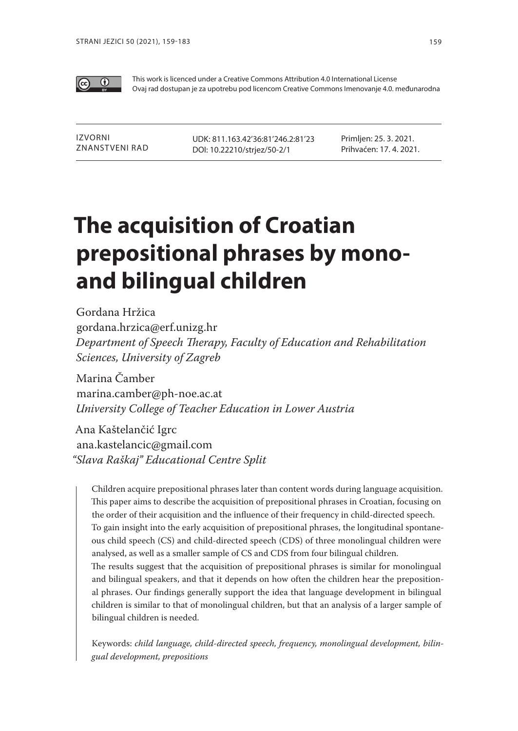

This work is licenced under a Creative Commons Attribution 4.0 International License Ovaj rad dostupan je za upotrebu pod licencom Creative Commons Imenovanje 4.0. međunarodna

Izvorni znanstveni rad UDK: 811.163.42'36:81'246.2:81'23 DOI: 10.22210/strjez/50-2/1

Primljen: 25. 3. 2021. Prihvaćen: 17. 4. 2021.

# **The acquisition of Croatian prepositional phrases by monoand bilingual children**

Gordana Hržica gordana.hrzica@erf.unizg.hr *Department of Speech Therapy, Faculty of Education and Rehabilitation Sciences, University of Zagreb*

Marina Čamber marina.camber@ph-noe.ac.at *University College of Teacher Education in Lower Austria*

Ana Kaštelančić Igrc ana.kastelancic@gmail.com *"Slava Raškaj" Educational Centre Split*

Children acquire prepositional phrases later than content words during language acquisition. This paper aims to describe the acquisition of prepositional phrases in Croatian, focusing on the order of their acquisition and the influence of their frequency in child-directed speech. To gain insight into the early acquisition of prepositional phrases, the longitudinal spontaneous child speech (CS) and child-directed speech (CDS) of three monolingual children were analysed, as well as a smaller sample of CS and CDS from four bilingual children. The results suggest that the acquisition of prepositional phrases is similar for monolingual and bilingual speakers, and that it depends on how often the children hear the prepositional phrases. Our findings generally support the idea that language development in bilingual children is similar to that of monolingual children, but that an analysis of a larger sample of bilingual children is needed.

Keywords: *child language, child-directed speech, frequency, monolingual development, bilingual development, prepositions*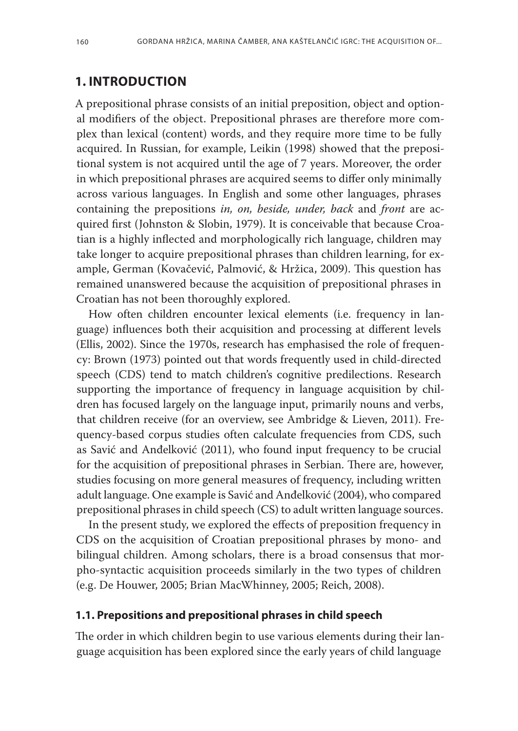# **1. INTRODUCTION**

A prepositional phrase consists of an initial preposition, object and optional modifiers of the object. Prepositional phrases are therefore more complex than lexical (content) words, and they require more time to be fully acquired. In Russian, for example, Leikin (1998) showed that the prepositional system is not acquired until the age of 7 years. Moreover, the order in which prepositional phrases are acquired seems to differ only minimally across various languages. In English and some other languages, phrases containing the prepositions *in, on, beside, under, back* and *front* are acquired first (Johnston & Slobin, 1979). It is conceivable that because Croatian is a highly inflected and morphologically rich language, children may take longer to acquire prepositional phrases than children learning, for example, German (Kovačević, Palmović, & Hržica, 2009). This question has remained unanswered because the acquisition of prepositional phrases in Croatian has not been thoroughly explored.

How often children encounter lexical elements (i.e. frequency in language) influences both their acquisition and processing at different levels (Ellis, 2002). Since the 1970s, research has emphasised the role of frequency: Brown (1973) pointed out that words frequently used in child-directed speech (CDS) tend to match children's cognitive predilections. Research supporting the importance of frequency in language acquisition by children has focused largely on the language input, primarily nouns and verbs, that children receive (for an overview, see Ambridge & Lieven, 2011). Frequency-based corpus studies often calculate frequencies from CDS, such as Savić and Anđelković (2011), who found input frequency to be crucial for the acquisition of prepositional phrases in Serbian. There are, however, studies focusing on more general measures of frequency, including written adult language. One example is Savić and Anđelković (2004), who compared prepositional phrases in child speech (CS) to adult written language sources.

In the present study, we explored the effects of preposition frequency in CDS on the acquisition of Croatian prepositional phrases by mono- and bilingual children. Among scholars, there is a broad consensus that morpho-syntactic acquisition proceeds similarly in the two types of children (e.g. De Houwer, 2005; Brian MacWhinney, 2005; Reich, 2008).

#### **1.1. Prepositions and prepositional phrases in child speech**

The order in which children begin to use various elements during their language acquisition has been explored since the early years of child language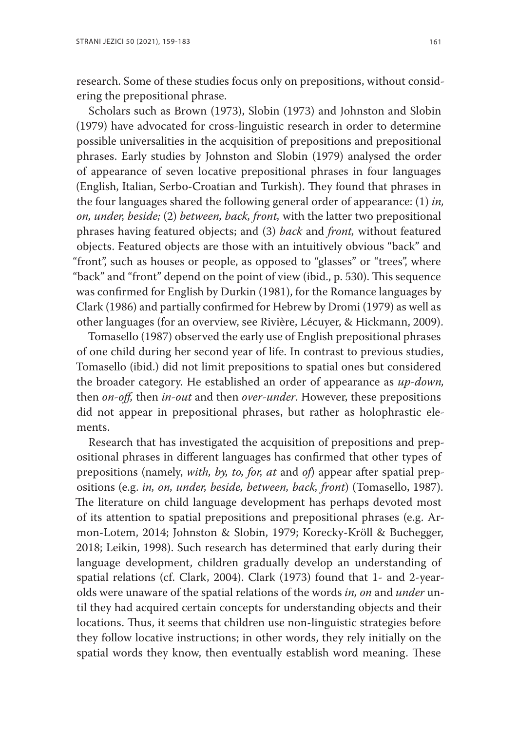research. Some of these studies focus only on prepositions, without considering the prepositional phrase.

Scholars such as Brown (1973), Slobin (1973) and Johnston and Slobin (1979) have advocated for cross-linguistic research in order to determine possible universalities in the acquisition of prepositions and prepositional phrases. Early studies by Johnston and Slobin (1979) analysed the order of appearance of seven locative prepositional phrases in four languages (English, Italian, Serbo-Croatian and Turkish). They found that phrases in the four languages shared the following general order of appearance: (1) *in, on, under, beside;* (2) *between, back, front,* with the latter two prepositional phrases having featured objects; and (3) *back* and *front,* without featured objects. Featured objects are those with an intuitively obvious "back" and "front", such as houses or people, as opposed to "glasses" or "trees", where "back" and "front" depend on the point of view (ibid., p. 530). This sequence was confirmed for English by Durkin (1981), for the Romance languages by Clark (1986) and partially confirmed for Hebrew by Dromi (1979) as well as other languages (for an overview, see Rivière, Lécuyer, & Hickmann, 2009).

Tomasello (1987) observed the early use of English prepositional phrases of one child during her second year of life. In contrast to previous studies, Tomasello (ibid.) did not limit prepositions to spatial ones but considered the broader category. He established an order of appearance as *up-down,*  then *on-off,* then *in-out* and then *over-under*. However, these prepositions did not appear in prepositional phrases, but rather as holophrastic elements.

Research that has investigated the acquisition of prepositions and prepositional phrases in different languages has confirmed that other types of prepositions (namely, *with, by, to, for, at* and *of*) appear after spatial prepositions (e.g. *in, on, under, beside, between, back, front*) (Tomasello, 1987). The literature on child language development has perhaps devoted most of its attention to spatial prepositions and prepositional phrases (e.g. Armon-Lotem, 2014; Johnston & Slobin, 1979; Korecky-Kröll & Buchegger, 2018; Leikin, 1998). Such research has determined that early during their language development, children gradually develop an understanding of spatial relations (cf. Clark, 2004). Clark (1973) found that 1- and 2-yearolds were unaware of the spatial relations of the words *in, on* and *under* until they had acquired certain concepts for understanding objects and their locations. Thus, it seems that children use non-linguistic strategies before they follow locative instructions; in other words, they rely initially on the spatial words they know, then eventually establish word meaning. These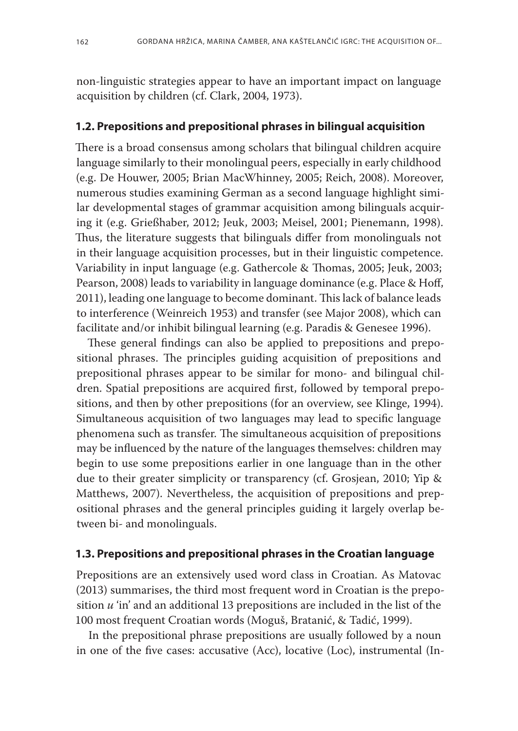non-linguistic strategies appear to have an important impact on language acquisition by children (cf. Clark, 2004, 1973).

#### **1.2. Prepositions and prepositional phrases in bilingual acquisition**

There is a broad consensus among scholars that bilingual children acquire language similarly to their monolingual peers, especially in early childhood (e.g. De Houwer, 2005; Brian MacWhinney, 2005; Reich, 2008). Moreover, numerous studies examining German as a second language highlight similar developmental stages of grammar acquisition among bilinguals acquiring it (e.g. Grießhaber, 2012; Jeuk, 2003; Meisel, 2001; Pienemann, 1998). Thus, the literature suggests that bilinguals differ from monolinguals not in their language acquisition processes, but in their linguistic competence. Variability in input language (e.g. Gathercole & Thomas, 2005; Jeuk, 2003; Pearson, 2008) leads to variability in language dominance (e.g. Place & Hoff, 2011), leading one language to become dominant. This lack of balance leads to interference (Weinreich 1953) and transfer (see Major 2008), which can facilitate and/or inhibit bilingual learning (e.g. Paradis & Genesee 1996).

These general findings can also be applied to prepositions and prepositional phrases. The principles guiding acquisition of prepositions and prepositional phrases appear to be similar for mono- and bilingual children. Spatial prepositions are acquired first, followed by temporal prepositions, and then by other prepositions (for an overview, see Klinge, 1994). Simultaneous acquisition of two languages may lead to specific language phenomena such as transfer. The simultaneous acquisition of prepositions may be influenced by the nature of the languages themselves: children may begin to use some prepositions earlier in one language than in the other due to their greater simplicity or transparency (cf. Grosjean, 2010; Yip & Matthews, 2007). Nevertheless, the acquisition of prepositions and prepositional phrases and the general principles guiding it largely overlap between bi- and monolinguals.

# **1.3. Prepositions and prepositional phrases in the Croatian language**

Prepositions are an extensively used word class in Croatian. As Matovac (2013) summarises, the third most frequent word in Croatian is the preposition *u* 'in' and an additional 13 prepositions are included in the list of the 100 most frequent Croatian words (Moguš, Bratanić, & Tadić, 1999).

In the prepositional phrase prepositions are usually followed by a noun in one of the five cases: accusative (Acc), locative (Loc), instrumental (In-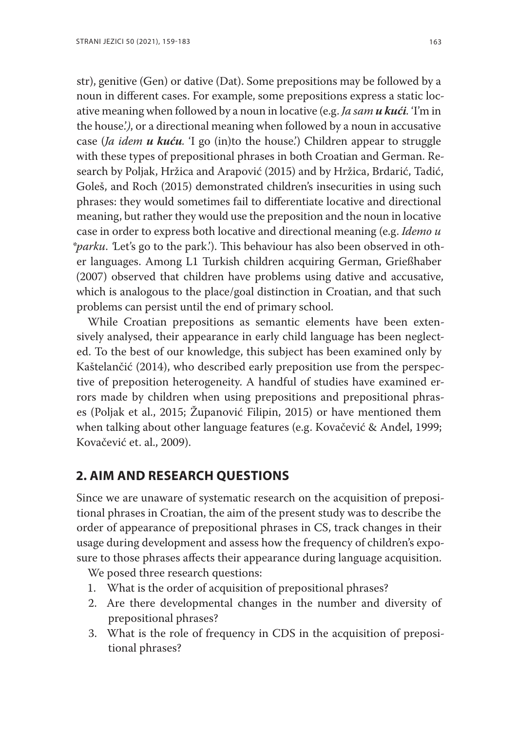str), genitive (Gen) or dative (Dat). Some prepositions may be followed by a noun in different cases. For example, some prepositions express a static locative meaning when followed by a noun in locative (e.g. *Ja sam u kući.* 'I'm in the house.'*)*, or a directional meaning when followed by a noun in accusative case (*Ja idem u kuću.* 'I go (in)to the house.') Children appear to struggle with these types of prepositional phrases in both Croatian and German. Research by Poljak, Hržica and Arapović (2015) and by Hržica, Brdarić, Tadić, Goleš, and Roch (2015) demonstrated children's insecurities in using such phrases: they would sometimes fail to differentiate locative and directional meaning, but rather they would use the preposition and the noun in locative case in order to express both locative and directional meaning (e.g. *Idemo u \*parku*. *'*Let's go to the park.'). This behaviour has also been observed in other languages. Among L1 Turkish children acquiring German, Grießhaber (2007) observed that children have problems using dative and accusative, which is analogous to the place/goal distinction in Croatian, and that such problems can persist until the end of primary school.

While Croatian prepositions as semantic elements have been extensively analysed, their appearance in early child language has been neglected. To the best of our knowledge, this subject has been examined only by Kaštelančić (2014), who described early preposition use from the perspective of preposition heterogeneity. A handful of studies have examined errors made by children when using prepositions and prepositional phrases (Poljak et al., 2015; Županović Filipin, 2015) or have mentioned them when talking about other language features (e.g. Kovačević & Anđel, 1999; Kovačević et. al., 2009).

# **2. AIM AND RESEARCH QUESTIONS**

Since we are unaware of systematic research on the acquisition of prepositional phrases in Croatian, the aim of the present study was to describe the order of appearance of prepositional phrases in CS, track changes in their usage during development and assess how the frequency of children's exposure to those phrases affects their appearance during language acquisition.

We posed three research questions:

- 1. What is the order of acquisition of prepositional phrases?
- 2. Are there developmental changes in the number and diversity of prepositional phrases?
- 3. What is the role of frequency in CDS in the acquisition of prepositional phrases?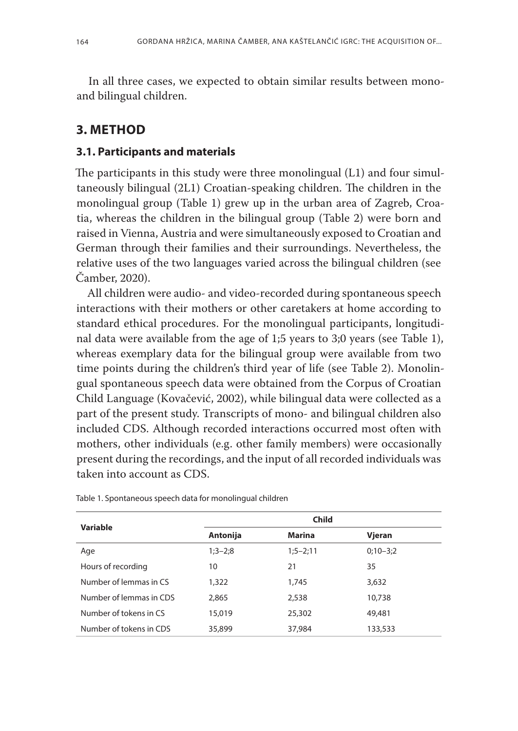In all three cases, we expected to obtain similar results between monoand bilingual children.

# **3. METHOD**

#### **3.1. Participants and materials**

The participants in this study were three monolingual (L1) and four simultaneously bilingual (2L1) Croatian-speaking children. The children in the monolingual group (Table 1) grew up in the urban area of Zagreb, Croatia, whereas the children in the bilingual group (Table 2) were born and raised in Vienna, Austria and were simultaneously exposed to Croatian and German through their families and their surroundings. Nevertheless, the relative uses of the two languages varied across the bilingual children (see Čamber, 2020).

All children were audio- and video-recorded during spontaneous speech interactions with their mothers or other caretakers at home according to standard ethical procedures. For the monolingual participants, longitudinal data were available from the age of 1;5 years to 3;0 years (see Table 1), whereas exemplary data for the bilingual group were available from two time points during the children's third year of life (see Table 2). Monolingual spontaneous speech data were obtained from the Corpus of Croatian Child Language (Kovačević, 2002), while bilingual data were collected as a part of the present study. Transcripts of mono- and bilingual children also included CDS. Although recorded interactions occurred most often with mothers, other individuals (e.g. other family members) were occasionally present during the recordings, and the input of all recorded individuals was taken into account as CDS.

| Variable                | <b>Child</b> |            |            |  |  |  |  |
|-------------------------|--------------|------------|------------|--|--|--|--|
|                         | Antonija     | Marina     | Vieran     |  |  |  |  |
| Age                     | $1;3-2;8$    | $1;5-2;11$ | $0;10-3;2$ |  |  |  |  |
| Hours of recording      | 10           | 21         | 35         |  |  |  |  |
| Number of lemmas in CS  | 1,322        | 1,745      | 3,632      |  |  |  |  |
| Number of lemmas in CDS | 2,865        | 2,538      | 10,738     |  |  |  |  |
| Number of tokens in CS  | 15,019       | 25,302     | 49,481     |  |  |  |  |
| Number of tokens in CDS | 35,899       | 37,984     | 133,533    |  |  |  |  |

Table 1. Spontaneous speech data for monolingual children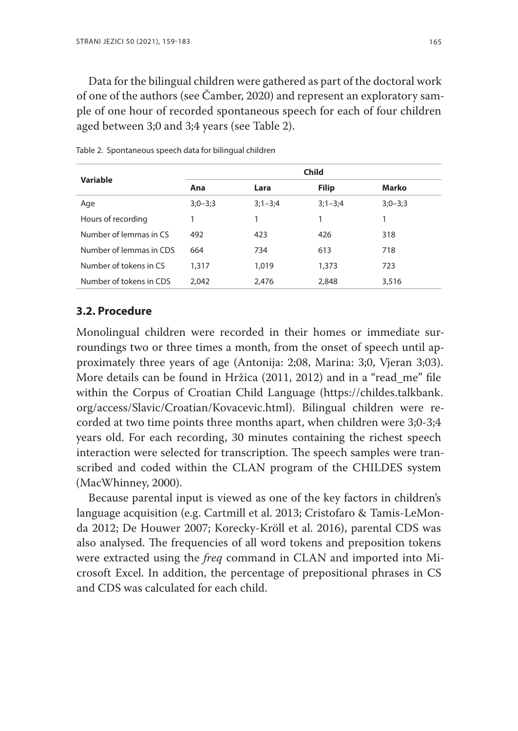Data for the bilingual children were gathered as part of the doctoral work of one of the authors (see Čamber, 2020) and represent an exploratory sample of one hour of recorded spontaneous speech for each of four children aged between 3;0 and 3;4 years (see Table 2).

| Variable                | <b>Child</b> |             |              |           |  |  |  |  |
|-------------------------|--------------|-------------|--------------|-----------|--|--|--|--|
|                         | Ana          | Lara        | <b>Filip</b> | Marko     |  |  |  |  |
| Age                     | $3;0-3;3$    | $3;1 - 3;4$ | $3;1 - 3;4$  | $3;0-3;3$ |  |  |  |  |
| Hours of recording      |              |             | 1            |           |  |  |  |  |
| Number of lemmas in CS  | 492          | 423         | 426          | 318       |  |  |  |  |
| Number of lemmas in CDS | 664          | 734         | 613          | 718       |  |  |  |  |
| Number of tokens in CS  | 1,317        | 1,019       | 1,373        | 723       |  |  |  |  |
| Number of tokens in CDS | 2.042        | 2,476       | 2,848        | 3,516     |  |  |  |  |

Table 2. Spontaneous speech data for bilingual children

## **3.2. Procedure**

Monolingual children were recorded in their homes or immediate surroundings two or three times a month, from the onset of speech until approximately three years of age (Antonija: 2;08, Marina: 3;0, Vjeran 3;03). More details can be found in Hržica (2011, 2012) and in a "read\_me" file within the Corpus of Croatian Child Language (https://childes.talkbank. org/access/Slavic/Croatian/Kovacevic.html). Bilingual children were recorded at two time points three months apart, when children were 3;0-3;4 years old. For each recording, 30 minutes containing the richest speech interaction were selected for transcription. The speech samples were transcribed and coded within the CLAN program of the CHILDES system (MacWhinney, 2000).

Because parental input is viewed as one of the key factors in children's language acquisition (e.g. Cartmill et al. 2013; Cristofaro & Tamis-LeMonda 2012; De Houwer 2007; Korecky-Kröll et al. 2016), parental CDS was also analysed. The frequencies of all word tokens and preposition tokens were extracted using the *freq* command in CLAN and imported into Microsoft Excel. In addition, the percentage of prepositional phrases in CS and CDS was calculated for each child.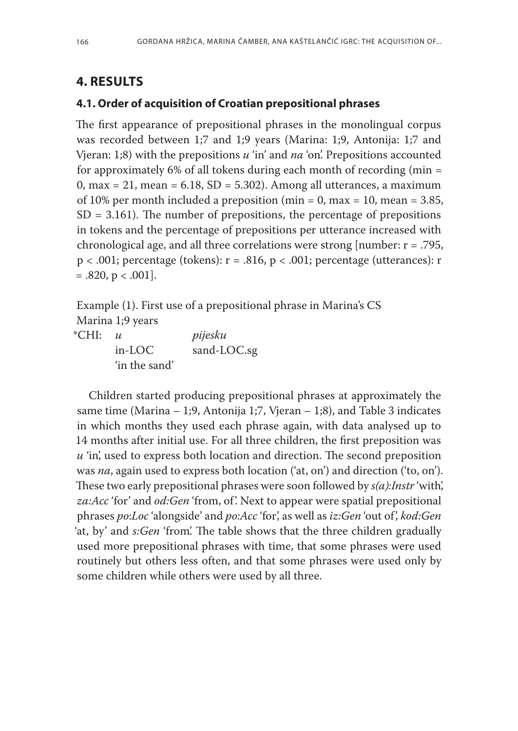# **4. RESULTS**

'in the sand'

#### **4.1. Order of acquisition of Croatian prepositional phrases**

The first appearance of prepositional phrases in the monolingual corpus was recorded between 1;7 and 1;9 years (Marina: 1;9, Antonija: 1;7 and Vjeran: 1;8) with the prepositions *u* 'in' and *na* 'on'. Prepositions accounted for approximately 6% of all tokens during each month of recording (min =  $0$ , max = 21, mean = 6.18, SD = 5.302). Among all utterances, a maximum of 10% per month included a preposition (min = 0, max = 10, mean =  $3.85$ ,  $SD = 3.161$ . The number of prepositions, the percentage of prepositions in tokens and the percentage of prepositions per utterance increased with chronological age, and all three correlations were strong [number: r = .795,  $p < .001$ ; percentage (tokens):  $r = .816$ ,  $p < .001$ ; percentage (utterances): r  $= .820, p < .001$ .

Example (1). First use of a prepositional phrase in Marina's CS Marina 1;9 years \*CHI: *u pijesku* in-LOC sand-LOC.sg

Children started producing prepositional phrases at approximately the same time (Marina – 1;9, Antonija 1;7, Vjeran – 1;8), and Table 3 indicates in which months they used each phrase again, with data analysed up to 14 months after initial use. For all three children, the first preposition was *u* 'in', used to express both location and direction. The second preposition was *na*, again used to express both location ('at, on') and direction ('to, on'). These two early prepositional phrases were soon followed by *s(a):Instr* 'with', *za:Acc* 'for' and *od:Gen* 'from, of'. Next to appear were spatial prepositional phrases *po*:*Loc* 'alongside' and *po:Acc* 'for', as well as *iz:Gen* 'out of', *kod:Gen* 'at, by' and *s:Gen* 'from'. The table shows that the three children gradually used more prepositional phrases with time, that some phrases were used routinely but others less often, and that some phrases were used only by some children while others were used by all three.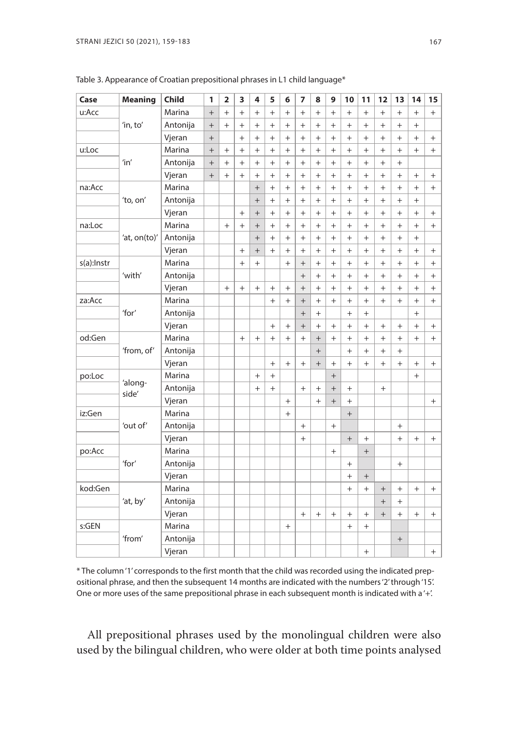| Case       | <b>Meaning</b>   | <b>Child</b> | 1         | $\overline{2}$ | 3         | 4         | 5         | 6              | 7         | 8                 | 9         | 10             | 11     | 12        | 13        | 14        | 15     |
|------------|------------------|--------------|-----------|----------------|-----------|-----------|-----------|----------------|-----------|-------------------|-----------|----------------|--------|-----------|-----------|-----------|--------|
| u:Acc      |                  | Marina       | $+$       | $+$            | $^{+}$    | $^{+}$    | $^{+}$    | $^{+}$         | $+$       | $+$               | $+$       | $+$            | $^{+}$ | $^{+}$    | $^{+}$    | $+$       | $^{+}$ |
|            | 'in, to'         | Antonija     | $+$       | $+$            | $\ddot{}$ | $^{+}$    | $^{+}$    | $^{+}$         | $^{+}$    | $\ddot{}$         | $+$       | $+$            | $^{+}$ | $^{+}$    | $+$       | $^{+}$    |        |
|            |                  | Vjeran       | $^{+}$    |                | $^{+}$    | $+$       | $+$       | $+$            | $^{+}$    | $^{+}$            | $\ddot{}$ | $^{+}$         | $^{+}$ | $\ddot{}$ | $^{+}$    | $^{+}$    | $^{+}$ |
| u:Loc      |                  | Marina       | $^{+}$    | $^{+}$         | $^{+}$    | $+$       | $+$       | $^{+}$         | $^{+}$    | $\overline{+}$    | $\ddot{}$ | $\overline{+}$ | $^{+}$ | $\ddot{}$ | $^{+}$    | $^{+}$    | $^{+}$ |
|            | 'in'             | Antonija     | $\ddot{}$ | $\ddot{}$      | $\ddot{}$ | $\ddot{}$ | $^{+}$    | $\overline{+}$ | $\ddot{}$ | $\ddot{}$         | $\ddot{}$ | $\ddot{}$      | $^{+}$ | $\ddot{}$ | $^{+}$    |           |        |
|            |                  | Vjeran       | $^{+}$    | $\ddot{}$      | $\ddot{}$ | $\ddot{}$ | $\ddot{}$ | $^{+}$         | $\ddot{}$ | $^{+}$            | $^{+}$    | $\ddot{}$      | $^{+}$ | $\ddot{}$ | $^{+}$    | $^{+}$    | $^{+}$ |
| na:Acc     |                  | Marina       |           |                |           | $^{+}$    | $\ddot{}$ | $^{+}$         | $\ddot{}$ | $^{+}$            | $\ddot{}$ | $\ddot{}$      | $^{+}$ | $^{+}$    | $^{+}$    | $^{+}$    | $^{+}$ |
|            | 'to, on'         | Antonija     |           |                |           | $^{+}$    | $\ddot{}$ | $^{+}$         | $\ddot{}$ | $^{+}$            | $\ddot{}$ | $\ddot{}$      | $^{+}$ | $^{+}$    | $^{+}$    | $^{+}$    |        |
|            |                  | Vjeran       |           |                | $^{+}$    | $^{+}$    | $+$       | $+$            | $\ddot{}$ | $^{+}$            | $\ddot{}$ | $^{+}$         | $^{+}$ | $^{+}$    | $\ddot{}$ | $^{+}$    | $+$    |
| na:Loc     |                  | Marina       |           | $^{+}$         | $^{+}$    | $^{+}$    | $+$       | $+$            | $\ddot{}$ | $\ddot{}$         | $\ddot{}$ | $^{+}$         | $^{+}$ | $^{+}$    | $^{+}$    | $^{+}$    | $+$    |
|            | 'at, on(to)'     | Antonija     |           |                |           | $+$       | $+$       | $+$            | $^{+}$    | $^{+}$            | $^{+}$    | $^{+}$         | $^{+}$ | $^{+}$    | $^{+}$    | $^{+}$    |        |
|            |                  | Vjeran       |           |                | $^{+}$    | $^{+}$    | $+$       | $^{+}$         | $^{+}$    | $^{+}$            | $^{+}$    | $^{+}$         | $^{+}$ | $^{+}$    | $^{+}$    | $^{+}$    | $^{+}$ |
| s(a):Instr |                  | Marina       |           |                | $\ddot{}$ | $^{+}$    |           | $^{+}$         | $\ddot{}$ | $\ddot{}$         | $\ddot{}$ | $^{+}$         | $^{+}$ | $\ddot{}$ | $\ddot{}$ | $^{+}$    | $^{+}$ |
|            | 'with'           | Antonija     |           |                |           |           |           |                | $\ddot{}$ | $\ddot{}$         | $\ddot{}$ | $^{+}$         | $^{+}$ | $\ddot{}$ | $\ddot{}$ | $^{+}$    | $^{+}$ |
|            |                  | Vjeran       |           | $^{+}$         | $^{+}$    | $^{+}$    | $^{+}$    | $^{+}$         | $\ddot{}$ | $\ddot{}$         | $\ddot{}$ | $^{+}$         | $^{+}$ | $^{+}$    | $\ddot{}$ | $^{+}$    | $^{+}$ |
| za:Acc     |                  | Marina       |           |                |           |           | $^{+}$    | $^{+}$         | $^{+}$    | $\ddot{}$         | $\ddot{}$ | $\ddot{}$      | $^{+}$ | $^{+}$    | $^{+}$    | $\ddot{}$ | $^{+}$ |
|            | 'for'            | Antonija     |           |                |           |           |           |                | $\ddot{}$ | $^{+}$            |           | $^{+}$         | $+$    |           |           | $^{+}$    |        |
|            |                  | Vjeran       |           |                |           |           | $^{+}$    | $^{+}$         | $+$       | $^{+}$            | $^{+}$    | $^{+}$         | $^{+}$ | $^{+}$    | $^{+}$    | $^{+}$    | $^{+}$ |
| od:Gen     |                  | Marina       |           |                | $+$       | $^{+}$    | $^{+}$    | $^{+}$         | $^{+}$    | $+$               | $^{+}$    | $^{+}$         | $^{+}$ | $^{+}$    | $^{+}$    | $^{+}$    | $^{+}$ |
|            | 'from, of'       | Antonija     |           |                |           |           |           |                |           | $+$               |           | $^{+}$         | $^{+}$ | $^{+}$    | $^{+}$    |           |        |
|            |                  | Vjeran       |           |                |           |           | $^{+}$    | $^{+}$         | $^{+}$    | $\qquad \qquad +$ | $^{+}$    | $\ddot{}$      | $^{+}$ | $^{+}$    | $^{+}$    | $^{+}$    | $+$    |
| po:Loc     |                  | Marina       |           |                |           | $^{+}$    | $^{+}$    |                |           |                   | $\ddot{}$ |                |        |           |           | $\ddot{}$ |        |
|            | 'along-<br>side' | Antonija     |           |                |           | $+$       | $^{+}$    |                | $\ddot{}$ | $^{+}$            | $\ddot{}$ | $^{+}$         |        | $^{+}$    |           |           |        |
|            |                  | Vjeran       |           |                |           |           |           | $+$            |           | $^{+}$            | $+$       | $^{+}$         |        |           |           |           | $^{+}$ |
| iz:Gen     |                  | Marina       |           |                |           |           |           | $+$            |           |                   |           | $^{+}$         |        |           |           |           |        |
|            | 'out of'         | Antonija     |           |                |           |           |           |                | $+$       |                   | $+$       |                |        |           | $+$       |           |        |
|            |                  | Vjeran       |           |                |           |           |           |                | $^{+}$    |                   |           | $+$            | $+$    |           | $+$       | $^{+}$    | $^{+}$ |
| po:Acc     |                  | Marina       |           |                |           |           |           |                |           |                   | $+$       |                | $^{+}$ |           |           |           |        |
|            | 'for'            | Antonija     |           |                |           |           |           |                |           |                   |           | $^{+}$         |        |           | $^{+}$    |           |        |
|            |                  | Vjeran       |           |                |           |           |           |                |           |                   |           | $^{+}$         | $^{+}$ |           |           |           |        |
| kod:Gen    |                  | Marina       |           |                |           |           |           |                |           |                   |           | $^{+}$         | $^{+}$ | $^{+}$    | $^{+}$    | $^{+}$    | $^{+}$ |
|            | 'at, by'         | Antonija     |           |                |           |           |           |                |           |                   |           |                |        | $^{+}$    | $^{+}$    |           |        |
|            |                  | Vjeran       |           |                |           |           |           |                | $^{+}$    | $+$               | $+$       | $+$            | $^{+}$ | $^{+}$    | $^{+}$    | $^{+}$    | $^{+}$ |
| s:GEN      |                  | Marina       |           |                |           |           |           | $^{+}$         |           |                   |           | $^{+}$         | $^{+}$ |           |           |           |        |
|            | 'from'           | Antonija     |           |                |           |           |           |                |           |                   |           |                |        |           | $^{+}$    |           |        |
|            |                  | Vjeran       |           |                |           |           |           |                |           |                   |           |                | $^{+}$ |           |           |           | $^{+}$ |

Table 3. Appearance of Croatian prepositional phrases in L1 child language\*

\* The column '1' corresponds to the first month that the child was recorded using the indicated prepositional phrase, and then the subsequent 14 months are indicated with the numbers '2' through '15'. One or more uses of the same prepositional phrase in each subsequent month is indicated with a '+'.

All prepositional phrases used by the monolingual children were also used by the bilingual children, who were older at both time points analysed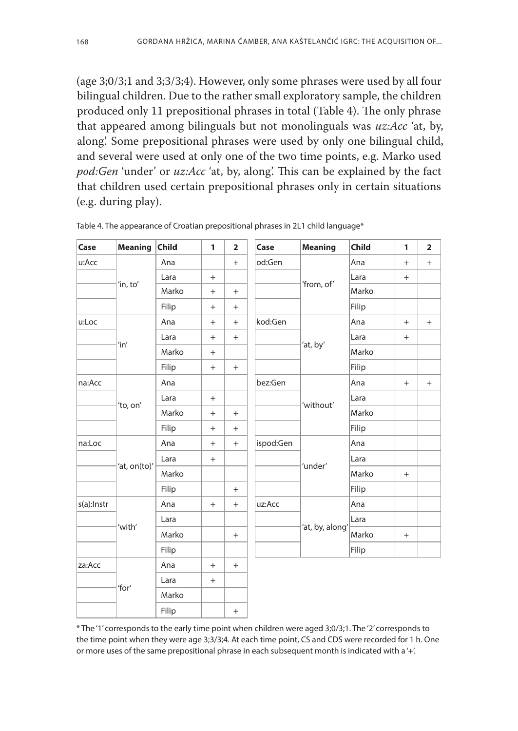(age 3;0/3;1 and 3;3/3;4). However, only some phrases were used by all four bilingual children. Due to the rather small exploratory sample, the children produced only 11 prepositional phrases in total (Table 4). The only phrase that appeared among bilinguals but not monolinguals was *uz:Acc* 'at, by, along'. Some prepositional phrases were used by only one bilingual child, and several were used at only one of the two time points, e.g. Marko used *pod:Gen* 'under' or *uz:Acc* 'at, by, along'. This can be explained by the fact that children used certain prepositional phrases only in certain situations (e.g. during play).

| Case       | <b>Meaning</b> | <b>Child</b> | 1      | $\overline{2}$ | Case      | <b>Meaning</b>  | <b>Child</b> | 1   | $\overline{2}$ |
|------------|----------------|--------------|--------|----------------|-----------|-----------------|--------------|-----|----------------|
| u:Acc      |                | Ana          |        | $+$            | od:Gen    |                 | Ana          | $+$ | $^{+}$         |
|            |                | Lara         | $^{+}$ |                |           |                 | Lara         | $+$ |                |
|            | 'in, to'       | Marko        | $^{+}$ | $+$            |           | 'from, of'      | Marko        |     |                |
|            |                | Filip        | $^{+}$ | $+$            |           |                 | Filip        |     |                |
| u:Loc      |                | Ana          | $^{+}$ | $+$            | kod:Gen   |                 | Ana          | $+$ | $+$            |
|            |                | Lara         | $^{+}$ | $+$            |           |                 | Lara         | $+$ |                |
|            | 'in'           | Marko        | $^{+}$ |                |           | 'at, by'        | Marko        |     |                |
|            |                | Filip        | $+$    | $+$            |           |                 | Filip        |     |                |
| na:Acc     |                | Ana          |        |                | bez:Gen   |                 | Ana          | $+$ | $^{+}$         |
|            |                | Lara         | $^{+}$ |                |           |                 | Lara         |     |                |
|            | 'to, on'       | Marko        | $^{+}$ | $+$            |           | 'without'       | Marko        |     |                |
|            |                | Filip        | $^{+}$ | $+$            |           |                 | Filip        |     |                |
| na:Loc     |                | Ana          | $^{+}$ | $+$            | ispod:Gen |                 | Ana          |     |                |
|            |                | Lara         | $^{+}$ |                |           |                 | Lara         |     |                |
|            | 'at, on(to)'   | Marko        |        |                |           | 'under'         | Marko        | $+$ |                |
|            |                | Filip        |        | $+$            |           |                 | Filip        |     |                |
| s(a):Instr |                | Ana          | $^{+}$ | $+$            | uz:Acc    |                 | Ana          |     |                |
|            |                | Lara         |        |                |           |                 | Lara         |     |                |
|            | 'with'         | Marko        |        | $^{+}$         |           | 'at, by, along' | Marko        | $+$ |                |
|            |                | Filip        |        |                |           |                 | Filip        |     |                |
| za:Acc     |                | Ana          | $^{+}$ | $+$            |           |                 |              |     |                |
|            |                | Lara         | $^{+}$ |                |           |                 |              |     |                |
|            | 'for'          | Marko        |        |                |           |                 |              |     |                |
|            |                | Filip        |        | $^{+}$         |           |                 |              |     |                |

Table 4. The appearance of Croatian prepositional phrases in 2L1 child language\*

\* The '1' corresponds to the early time point when children were aged 3;0/3;1. The '2' corresponds to the time point when they were age 3;3/3;4. At each time point, CS and CDS were recorded for 1 h. One or more uses of the same prepositional phrase in each subsequent month is indicated with a '+'.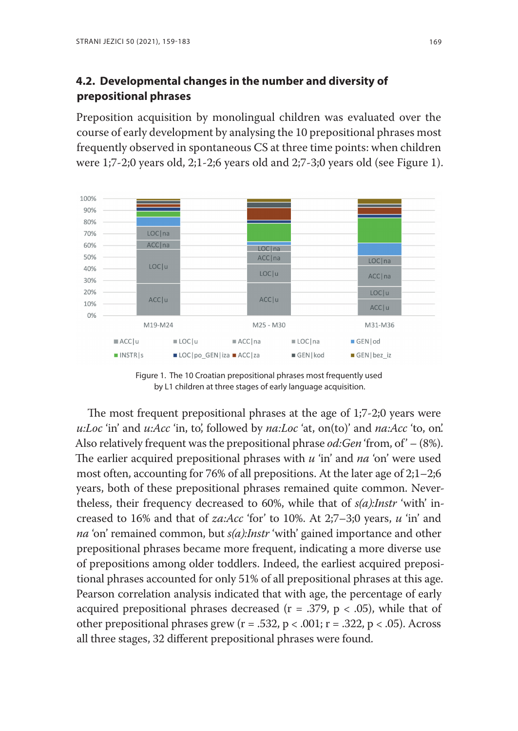# **4.2. Developmental changes in the number and diversity of prepositional phrases**

Preposition acquisition by monolingual children was evaluated over the course of early development by analysing the 10 prepositional phrases most frequently observed in spontaneous CS at three time points: when children were 1;7-2;0 years old, 2;1-2;6 years old and 2;7-3;0 years old (see Figure 1).



Figure 1. The 10 Croatian prepositional phrases most frequently used by L1 children at three stages of early language acquisition.

The most frequent prepositional phrases at the age of 1;7-2;0 years were *u:Loc* 'in' and *u:Acc* 'in, to', followed by *na:Loc* 'at, on(to)' and *na:Acc* 'to, on'. Also relatively frequent was the prepositional phrase *od:Gen* 'from, of' – (8%). The earlier acquired prepositional phrases with *u* 'in' and *na* 'on' were used most often, accounting for 76% of all prepositions. At the later age of 2;1–2;6 years, both of these prepositional phrases remained quite common. Nevertheless, their frequency decreased to 60%, while that of *s(a):Instr* 'with' increased to 16% and that of *za:Acc* 'for' to 10%. At 2;7–3;0 years, *u* 'in' and *na* 'on' remained common, but *s(a):Instr* 'with' gained importance and other prepositional phrases became more frequent, indicating a more diverse use of prepositions among older toddlers. Indeed, the earliest acquired prepositional phrases accounted for only 51% of all prepositional phrases at this age. Pearson correlation analysis indicated that with age, the percentage of early acquired prepositional phrases decreased ( $r = .379$ ,  $p < .05$ ), while that of other prepositional phrases grew ( $r = .532$ ,  $p < .001$ ;  $r = .322$ ,  $p < .05$ ). Across all three stages, 32 different prepositional phrases were found.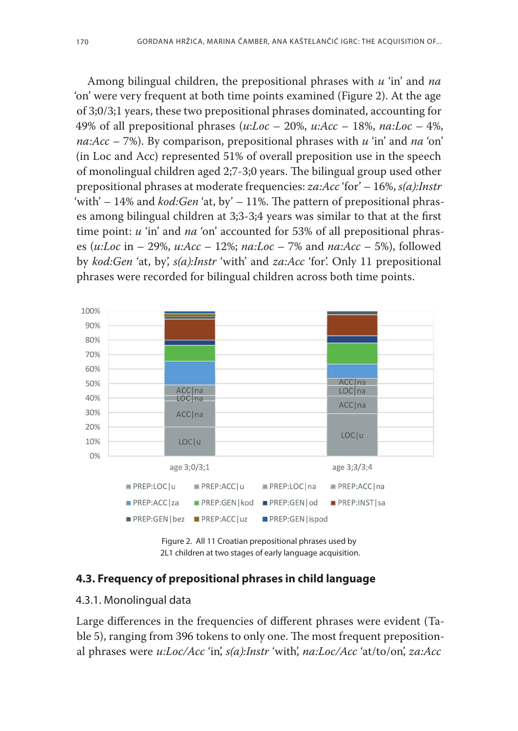Among bilingual children, the prepositional phrases with *u* 'in' and *na* 'on' were very frequent at both time points examined (Figure 2). At the age of 3;0/3;1 years, these two prepositional phrases dominated, accounting for 49% of all prepositional phrases (*u*:*Loc* – 20%, *u:Acc* – 18%, *na:Loc –* 4%, *na:Acc* – 7%). By comparison, prepositional phrases with *u* 'in' and *na* 'on' (in Loc and Acc) represented 51% of overall preposition use in the speech of monolingual children aged 2;7-3;0 years. The bilingual group used other prepositional phrases at moderate frequencies: *za:Acc* 'for' – 16%, *s(a):Instr* 'with' – 14% and *kod:Gen* 'at, by' – 11%. The pattern of prepositional phrases among bilingual children at 3;3-3;4 years was similar to that at the first time point: *u* 'in' and *na* 'on' accounted for 53% of all prepositional phrases (*u:Loc* in – 29%, *u:Acc* – 12%; *na:Loc* – 7% and *na:Acc* – 5%), followed by *kod:Gen* 'at, by', *s(a):Instr* 'with' and *za:Acc* 'for'. Only 11 prepositional phrases were recorded for bilingual children across both time points.



Figure 2. All 11 Croatian prepositional phrases used by 2L1 children at two stages of early language acquisition.

#### **4.3. Frequency of prepositional phrases in child language**

#### 4.3.1. Monolingual data

Large differences in the frequencies of different phrases were evident (Table 5), ranging from 396 tokens to only one. The most frequent prepositional phrases were *u:Loc/Acc* 'in', *s(a):Instr* 'with', *na:Loc/Acc* 'at/to/on', *za:Acc*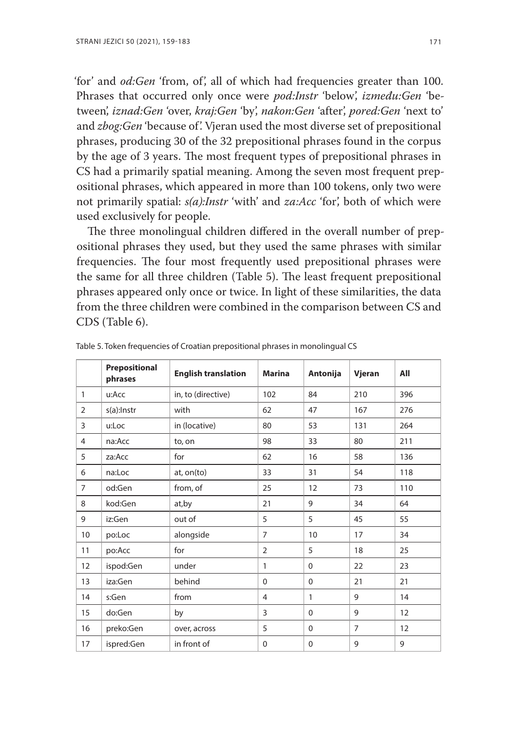'for' and *od:Gen* 'from, of', all of which had frequencies greater than 100. Phrases that occurred only once were *pod:Instr* 'below', *između:Gen* 'between', *iznad:Gen* 'over, *kraj:Gen* 'by', *nakon:Gen* 'after', *pored:Gen* 'next to' and *zbog:Gen* 'because of'. Vjeran used the most diverse set of prepositional phrases, producing 30 of the 32 prepositional phrases found in the corpus by the age of 3 years. The most frequent types of prepositional phrases in CS had a primarily spatial meaning. Among the seven most frequent prepositional phrases, which appeared in more than 100 tokens, only two were not primarily spatial: *s(a):Instr* 'with' and *za:Acc* 'for', both of which were used exclusively for people.

The three monolingual children differed in the overall number of prepositional phrases they used, but they used the same phrases with similar frequencies. The four most frequently used prepositional phrases were the same for all three children (Table 5). The least frequent prepositional phrases appeared only once or twice. In light of these similarities, the data from the three children were combined in the comparison between CS and CDS (Table 6).

|                | Prepositional<br>phrases | <b>English translation</b> | <b>Marina</b>  | Antonija | Vjeran         | All |
|----------------|--------------------------|----------------------------|----------------|----------|----------------|-----|
| 1              | u:Acc                    | in, to (directive)         | 102            | 84       | 210            | 396 |
| $\overline{2}$ | s(a):Instr               | with                       | 62             | 47       | 167            | 276 |
| 3              | u:Loc                    | in (locative)              | 80             | 53       | 131            | 264 |
| 4              | na:Acc                   | to, on                     | 98             | 33       | 80             | 211 |
| 5              | za:Acc                   | for                        | 62             | 16       | 58             | 136 |
| 6              | na:Loc                   | at, on(to)                 | 33             | 31       | 54             | 118 |
| $\overline{7}$ | od:Gen                   | from, of                   | 25             | 12       | 73             | 110 |
| 8              | kod:Gen                  | at, by                     | 21             | 9        | 34             | 64  |
| 9              | iz:Gen                   | out of                     | 5              | 5        | 45             | 55  |
| 10             | po:Loc                   | alongside                  | $\overline{7}$ | 10       | 17             | 34  |
| 11             | po:Acc                   | for                        | $\overline{2}$ | 5        | 18             | 25  |
| 12             | ispod:Gen                | under                      | 1              | $\Omega$ | 22             | 23  |
| 13             | iza:Gen                  | behind                     | $\Omega$       | $\Omega$ | 21             | 21  |
| 14             | s:Gen                    | from                       | 4              | 1        | 9              | 14  |
| 15             | do:Gen                   | by                         | 3              | $\Omega$ | 9              | 12  |
| 16             | preko:Gen                | over, across               | 5              | $\Omega$ | $\overline{7}$ | 12  |
| 17             | ispred:Gen               | in front of                | $\mathbf{0}$   | $\Omega$ | 9              | 9   |

Table 5. Token frequencies of Croatian prepositional phrases in monolingual CS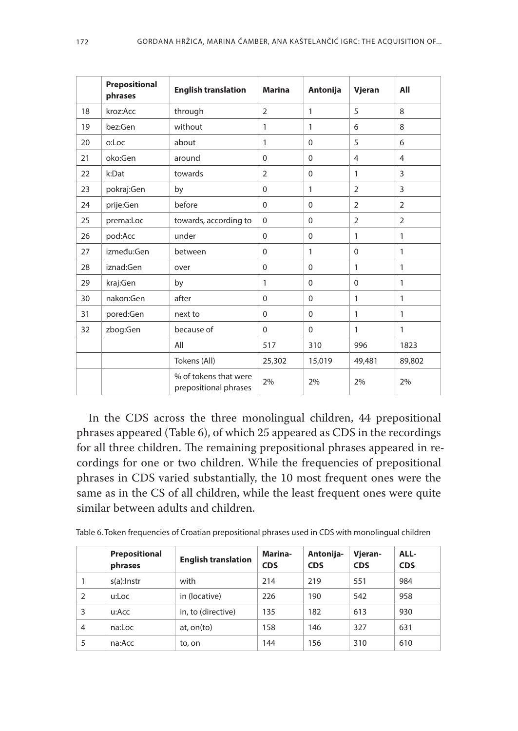|    | Prepositional<br>phrases | <b>English translation</b>                     | <b>Marina</b>  | Antonija     | Vjeran         | All            |
|----|--------------------------|------------------------------------------------|----------------|--------------|----------------|----------------|
| 18 | kroz:Acc                 | through                                        | $\overline{2}$ | $\mathbf{1}$ | 5              | 8              |
| 19 | bez:Gen                  | without                                        | 1              | $\mathbf{1}$ | 6              | 8              |
| 20 | o:Loc                    | about                                          | 1              | $\Omega$     | 5              | 6              |
| 21 | oko:Gen                  | around                                         | $\Omega$       | 0            | 4              | $\overline{4}$ |
| 22 | k:Dat                    | towards                                        | $\overline{2}$ | $\Omega$     | 1              | 3              |
| 23 | pokraj:Gen               | by                                             | $\Omega$       | $\mathbf{1}$ | $\overline{2}$ | 3              |
| 24 | prije:Gen                | before                                         | $\Omega$       | $\mathbf 0$  | $\overline{2}$ | $\overline{2}$ |
| 25 | prema:Loc                | towards, according to                          | $\Omega$       | $\Omega$     | $\overline{2}$ | $\overline{2}$ |
| 26 | pod:Acc                  | under                                          | $\Omega$       | $\mathbf 0$  | 1              | $\mathbf{1}$   |
| 27 | između:Gen               | between                                        | $\Omega$       | 1            | $\Omega$       | $\mathbf{1}$   |
| 28 | iznad:Gen                | over                                           | $\Omega$       | $\Omega$     | 1              | 1              |
| 29 | kraj:Gen                 | by                                             | 1              | $\Omega$     | $\Omega$       | 1              |
| 30 | nakon:Gen                | after                                          | $\Omega$       | $\mathbf 0$  | 1              | $\mathbf{1}$   |
| 31 | pored:Gen                | next to                                        | $\Omega$       | $\Omega$     | 1              | $\mathbf{1}$   |
| 32 | zbog:Gen                 | because of                                     | $\Omega$       | $\mathbf 0$  | 1              | $\mathbf{1}$   |
|    |                          | All                                            | 517            | 310          | 996            | 1823           |
|    |                          | Tokens (All)                                   | 25,302         | 15,019       | 49,481         | 89,802         |
|    |                          | % of tokens that were<br>prepositional phrases | 2%             | 2%           | 2%             | 2%             |

In the CDS across the three monolingual children, 44 prepositional phrases appeared (Table 6), of which 25 appeared as CDS in the recordings for all three children. The remaining prepositional phrases appeared in recordings for one or two children. While the frequencies of prepositional phrases in CDS varied substantially, the 10 most frequent ones were the same as in the CS of all children, while the least frequent ones were quite similar between adults and children.

| Table 6. Token frequencies of Croatian prepositional phrases used in CDS with monolingual children |  |  |
|----------------------------------------------------------------------------------------------------|--|--|
|----------------------------------------------------------------------------------------------------|--|--|

|   | Prepositional<br>phrases | <b>English translation</b> | Marina-<br><b>CDS</b> | Antonija-<br><b>CDS</b> | Vjeran-<br><b>CDS</b> | ALL-<br><b>CDS</b> |
|---|--------------------------|----------------------------|-----------------------|-------------------------|-----------------------|--------------------|
|   | $s(a)$ : Instr           | with                       | 214                   | 219                     | 551                   | 984                |
| 2 | u:Loc                    | in (locative)              | 226                   | 190                     | 542                   | 958                |
| 3 | u:Acc                    | in, to (directive)         | 135                   | 182                     | 613                   | 930                |
| 4 | na:Loc                   | at, on(to)                 | 158                   | 146                     | 327                   | 631                |
| 5 | na:Acc                   | to, on                     | 144                   | 156                     | 310                   | 610                |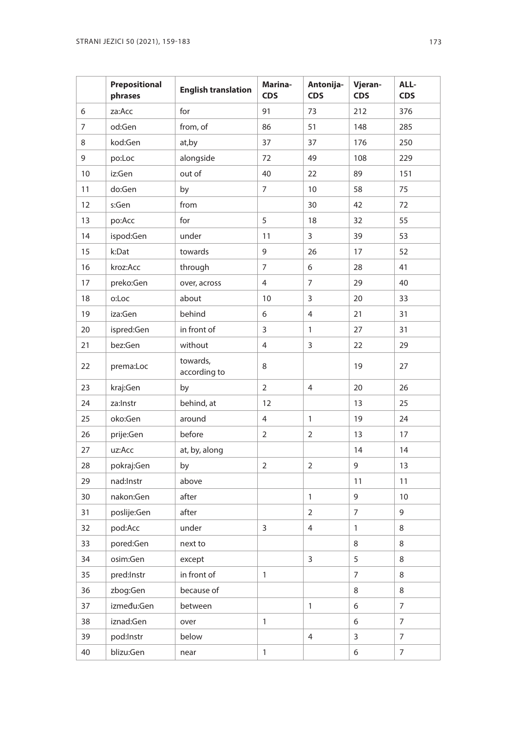|    | Prepositional<br>phrases | <b>English translation</b> | Marina-<br><b>CDS</b> | Antonija-<br><b>CDS</b> | Vjeran-<br><b>CDS</b> | ALL-<br><b>CDS</b> |
|----|--------------------------|----------------------------|-----------------------|-------------------------|-----------------------|--------------------|
| 6  | za:Acc                   | for                        | 91                    | 73                      | 212                   | 376                |
| 7  | od:Gen                   | from, of                   | 86                    | 51                      | 148                   | 285                |
| 8  | kod:Gen                  | at, by                     | 37                    | 37                      | 176                   | 250                |
| 9  | po:Loc                   | alongside                  | 72                    | 49                      | 108                   | 229                |
| 10 | iz:Gen                   | out of                     | 40                    | 22                      | 89                    | 151                |
| 11 | do:Gen                   | by                         | 7                     | 10                      | 58                    | 75                 |
| 12 | s:Gen                    | from                       |                       | 30                      | 42                    | 72                 |
| 13 | po:Acc                   | for                        | 5                     | 18                      | 32                    | 55                 |
| 14 | ispod:Gen                | under                      | 11                    | 3                       | 39                    | 53                 |
| 15 | k:Dat                    | towards                    | 9                     | 26                      | 17                    | 52                 |
| 16 | kroz:Acc                 | through                    | 7                     | 6                       | 28                    | 41                 |
| 17 | preko:Gen                | over, across               | 4                     | 7                       | 29                    | 40                 |
| 18 | o:Loc                    | about                      | 10                    | 3                       | 20                    | 33                 |
| 19 | iza:Gen                  | behind                     | 6                     | $\overline{4}$          | 21                    | 31                 |
| 20 | ispred:Gen               | in front of                | 3                     | $\mathbf{1}$            | 27                    | 31                 |
| 21 | bez:Gen                  | without                    | 4                     | 3                       | 22                    | 29                 |
| 22 | prema:Loc                | towards.<br>according to   | 8                     |                         | 19                    | 27                 |
| 23 | kraj:Gen                 | by                         | $\overline{2}$        | $\overline{4}$          | 20                    | 26                 |
| 24 | za:Instr                 | behind, at                 | 12                    |                         | 13                    | 25                 |
| 25 | oko:Gen                  | around                     | 4                     | $\mathbf{1}$            | 19                    | 24                 |
| 26 | prije:Gen                | before                     | $\overline{2}$        | 2                       | 13                    | 17                 |
| 27 | uz:Acc                   | at, by, along              |                       |                         | 14                    | 14                 |
| 28 | pokraj:Gen               | by                         | $\overline{2}$        | $\overline{2}$          | 9                     | 13                 |
| 29 | nad:Instr                | above                      |                       |                         | 11                    | 11                 |
| 30 | nakon:Gen                | after                      |                       | $\mathbf{1}$            | 9                     | 10                 |
| 31 | poslije:Gen              | after                      |                       | $\overline{2}$          | 7                     | 9                  |
| 32 | pod:Acc                  | under                      | 3                     | 4                       | 1                     | 8                  |
| 33 | pored:Gen                | next to                    |                       |                         | 8                     | 8                  |
| 34 | osim:Gen                 | except                     |                       | 3                       | 5                     | 8                  |
| 35 | pred:Instr               | in front of                | $\mathbf{1}$          |                         | 7                     | 8                  |
| 36 | zbog:Gen                 | because of                 |                       |                         | 8                     | 8                  |
| 37 | između:Gen               | between                    |                       | $\mathbf{1}$            | 6                     | $\overline{7}$     |
| 38 | iznad:Gen                | over                       | $\mathbf{1}$          |                         | 6                     | $\overline{7}$     |
| 39 | pod:Instr                | below                      |                       | 4                       | 3                     | 7                  |
| 40 | blizu:Gen                | near                       | $\mathbf{1}$          |                         | 6                     | $\overline{7}$     |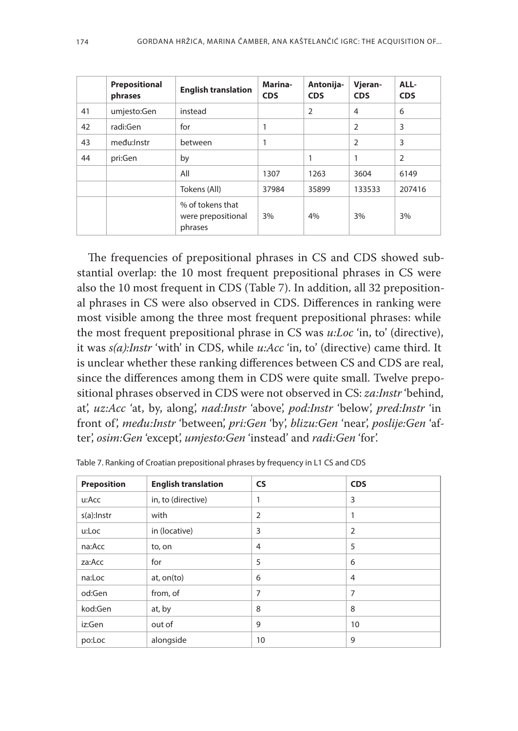|    | Prepositional<br>phrases | <b>English translation</b>                        | Marina-<br><b>CDS</b> | Antonija-<br><b>CDS</b> | Vjeran-<br><b>CDS</b> | ALL-<br><b>CDS</b> |
|----|--------------------------|---------------------------------------------------|-----------------------|-------------------------|-----------------------|--------------------|
| 41 | umjesto:Gen              | instead                                           |                       | $\overline{2}$          | $\overline{4}$        | 6                  |
| 42 | radi:Gen                 | for                                               | 1                     |                         | $\overline{2}$        | 3                  |
| 43 | među:Instr               | between                                           | 1                     |                         | $\overline{2}$        | 3                  |
| 44 | pri:Gen                  | by                                                |                       | 1                       | 1                     | $\overline{2}$     |
|    |                          | All                                               | 1307                  | 1263                    | 3604                  | 6149               |
|    |                          | Tokens (All)                                      | 37984                 | 35899                   | 133533                | 207416             |
|    |                          | % of tokens that<br>were prepositional<br>phrases | 3%                    | 4%                      | 3%                    | 3%                 |

The frequencies of prepositional phrases in CS and CDS showed substantial overlap: the 10 most frequent prepositional phrases in CS were also the 10 most frequent in CDS (Table 7). In addition, all 32 prepositional phrases in CS were also observed in CDS. Differences in ranking were most visible among the three most frequent prepositional phrases: while the most frequent prepositional phrase in CS was *u:Loc* 'in, to' (directive), it was *s(a):Instr* 'with' in CDS, while *u:Acc* 'in, to' (directive) came third. It is unclear whether these ranking differences between CS and CDS are real, since the differences among them in CDS were quite small. Twelve prepositional phrases observed in CDS were not observed in CS: *za:Instr* 'behind, at', *uz:Acc* 'at, by, along', *nad:Instr* 'above', *pod:Instr* 'below', *pred:Instr* 'in front of', *među:Instr* 'between', *pri:Gen* 'by', *blizu:Gen* 'near', *poslije:Gen* 'after', *osim:Gen* 'except', *umjesto:Gen* 'instead' and *radi:Gen* 'for'.

| Preposition | <b>English translation</b> | <b>CS</b>      | <b>CDS</b>     |  |  |
|-------------|----------------------------|----------------|----------------|--|--|
| u:Acc       | in, to (directive)         |                | 3              |  |  |
| s(a):Instr  | with                       | $\overline{2}$ |                |  |  |
| u:Loc       | in (locative)              | 3              | $\overline{2}$ |  |  |
| na:Acc      | to, on                     | 4              | 5              |  |  |
| za:Acc      | for                        | 5              | 6              |  |  |
| na:Loc      | at, on(to)                 | 6              | 4              |  |  |
| od:Gen      | from, of                   | 7              | 7              |  |  |
| kod:Gen     | at, by                     | 8              | 8              |  |  |
| iz:Gen      | out of                     | 9              | 10             |  |  |
| po:Loc      | alongside                  | 10             | 9              |  |  |

Table 7. Ranking of Croatian prepositional phrases by frequency in L1 CS and CDS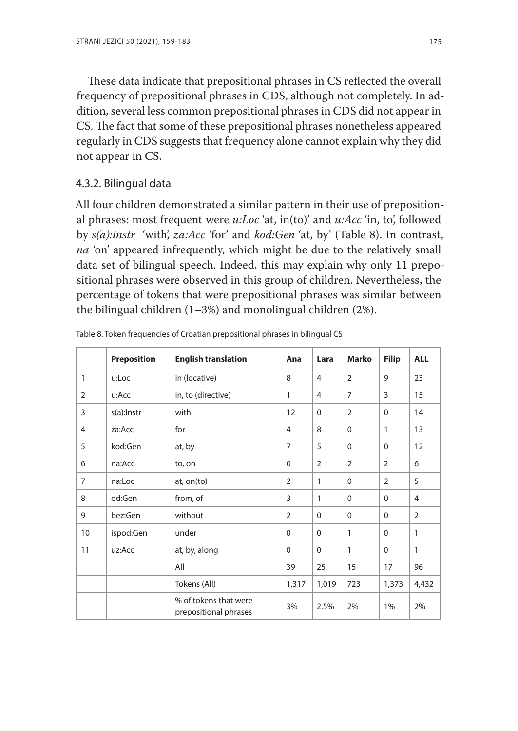These data indicate that prepositional phrases in CS reflected the overall frequency of prepositional phrases in CDS, although not completely. In addition, several less common prepositional phrases in CDS did not appear in CS. The fact that some of these prepositional phrases nonetheless appeared regularly in CDS suggests that frequency alone cannot explain why they did not appear in CS.

## 4.3.2. Bilingual data

All four children demonstrated a similar pattern in their use of prepositional phrases: most frequent were *u:Loc* 'at, in(to)' and *u:Acc* 'in, to', followed by *s(a):Instr* 'with', *za:Acc* 'for' and *kod:Gen* 'at, by' (Table 8). In contrast, *na* 'on' appeared infrequently, which might be due to the relatively small data set of bilingual speech. Indeed, this may explain why only 11 prepositional phrases were observed in this group of children. Nevertheless, the percentage of tokens that were prepositional phrases was similar between the bilingual children (1–3%) and monolingual children (2%).

|                | <b>Preposition</b> | <b>English translation</b>                     | Ana            | Lara           | <b>Marko</b>   | <b>Filip</b>   | <b>ALL</b>     |
|----------------|--------------------|------------------------------------------------|----------------|----------------|----------------|----------------|----------------|
| 1              | u:Loc              | in (locative)                                  | 8              | $\overline{4}$ | 2              | 9              | 23             |
| $\overline{2}$ | u:Acc              | in, to (directive)                             | 1              | $\overline{4}$ | $\overline{7}$ | 3              | 15             |
| 3              | s(a):Instr         | with                                           | 12             | $\Omega$       | 2              | $\Omega$       | 14             |
| $\overline{4}$ | za:Acc             | for                                            | 4              | 8              | $\mathbf 0$    | 1              | 13             |
| 5              | kod:Gen            | at, by                                         | $\overline{7}$ | 5              | $\Omega$       | $\Omega$       | 12             |
| 6              | na:Acc             | to, on                                         | $\Omega$       | $\overline{2}$ | $\overline{2}$ | $\overline{2}$ | 6              |
| $\overline{7}$ | na:Loc             | at, on(to)                                     | $\overline{2}$ | 1              | $\Omega$       | $\overline{2}$ | 5              |
| 8              | od:Gen             | from, of                                       | 3              | 1              | 0              | $\Omega$       | 4              |
| 9              | bez:Gen            | without                                        | $\overline{2}$ | $\Omega$       | $\Omega$       | $\Omega$       | $\overline{2}$ |
| 10             | ispod:Gen          | under                                          | $\Omega$       | $\Omega$       | 1              | $\Omega$       | 1              |
| 11             | uz:Acc             | at, by, along                                  | $\Omega$       | $\Omega$       | $\mathbf{1}$   | $\Omega$       | 1              |
|                |                    | All                                            | 39             | 25             | 15             | 17             | 96             |
|                |                    | Tokens (All)                                   | 1,317          | 1,019          | 723            | 1,373          | 4,432          |
|                |                    | % of tokens that were<br>prepositional phrases | 3%             | 2.5%           | 2%             | 1%             | 2%             |

Table 8. Token frequencies of Croatian prepositional phrases in bilingual CS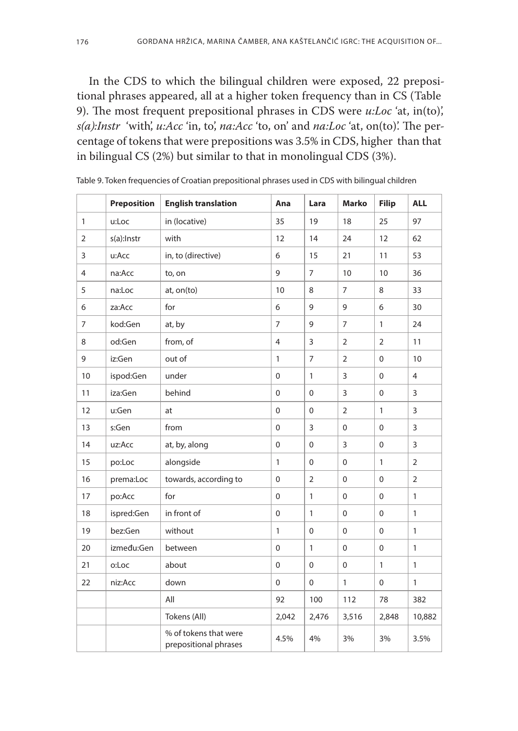In the CDS to which the bilingual children were exposed, 22 prepositional phrases appeared, all at a higher token frequency than in CS (Table 9). The most frequent prepositional phrases in CDS were *u:Loc* 'at, in(to)', *s(a):Instr* 'with', *u:Acc* 'in, to', *na:Acc* 'to, on' and *na:Loc* 'at, on(to)'. The percentage of tokens that were prepositions was 3.5% in CDS, higher than that in bilingual CS (2%) but similar to that in monolingual CDS (3%).

|                | <b>Preposition</b> | <b>English translation</b>                     | Ana            | Lara           | <b>Marko</b>   | <b>Filip</b> | <b>ALL</b>     |
|----------------|--------------------|------------------------------------------------|----------------|----------------|----------------|--------------|----------------|
| $\mathbf{1}$   | u:Loc              | in (locative)                                  | 35             | 19             | 18             | 25           | 97             |
| $\overline{2}$ | s(a):Instr         | with                                           | 12             | 14             | 24             | 12           | 62             |
| 3              | u:Acc              | in, to (directive)                             | 6              | 15             | 21             | 11           | 53             |
| $\overline{4}$ | na:Acc             | to, on                                         | 9              | $\overline{7}$ | 10             | 10           | 36             |
| 5              | na:Loc             | at, on(to)                                     | 10             | 8              | $\overline{7}$ | 8            | 33             |
| 6              | za:Acc             | for                                            | 6              | 9              | 9              | 6            | 30             |
| $\overline{7}$ | kod:Gen            | at, by                                         | $\overline{7}$ | 9              | $\overline{7}$ | $\mathbf{1}$ | 24             |
| 8              | od:Gen             | from, of                                       | 4              | 3              | $\overline{2}$ | 2            | 11             |
| 9              | iz:Gen             | out of                                         | $\mathbf{1}$   | 7              | $\overline{2}$ | 0            | 10             |
| 10             | ispod:Gen          | under                                          | $\mathbf 0$    | $\mathbf{1}$   | $\overline{3}$ | $\Omega$     | $\overline{4}$ |
| 11             | iza:Gen            | behind                                         | $\mathbf 0$    | $\mathbf 0$    | 3              | $\mathbf 0$  | 3              |
| 12             | u:Gen              | at                                             | $\mathbf 0$    | $\mathbf 0$    | $\overline{2}$ | $\mathbf{1}$ | 3              |
| 13             | s:Gen              | from                                           | 0              | 3              | $\mathbf 0$    | $\mathbf 0$  | 3              |
| 14             | uz:Acc             | at, by, along                                  | 0              | $\mathbf 0$    | 3              | $\mathbf 0$  | 3              |
| 15             | po:Loc             | alongside                                      | $\mathbf{1}$   | $\mathbf 0$    | $\Omega$       | $\mathbf{1}$ | $\overline{2}$ |
| 16             | prema:Loc          | towards, according to                          | 0              | $\overline{2}$ | 0              | $\mathbf 0$  | $\overline{2}$ |
| 17             | po:Acc             | for                                            | 0              | $\mathbf{1}$   | 0              | $\mathbf 0$  | 1              |
| 18             | ispred:Gen         | in front of                                    | 0              | $\mathbf{1}$   | 0              | $\mathbf 0$  | $\mathbf{1}$   |
| 19             | bez:Gen            | without                                        | $\mathbf{1}$   | $\mathbf 0$    | $\Omega$       | $\Omega$     | $\mathbf{1}$   |
| 20             | između:Gen         | between                                        | 0              | $\mathbf{1}$   | $\mathbf{0}$   | $\mathbf 0$  | $\mathbf{1}$   |
| 21             | o:Loc              | about                                          | 0              | $\mathbf 0$    | 0              | $\mathbf{1}$ | $\mathbf{1}$   |
| 22             | niz:Acc            | down                                           | 0              | $\mathbf 0$    | 1              | $\mathbf 0$  | 1              |
|                |                    | All                                            | 92             | 100            | 112            | 78           | 382            |
|                |                    | Tokens (All)                                   | 2,042          | 2,476          | 3,516          | 2,848        | 10,882         |
|                |                    | % of tokens that were<br>prepositional phrases | 4.5%           | 4%             | 3%             | 3%           | 3.5%           |

Table 9. Token frequencies of Croatian prepositional phrases used in CDS with bilingual children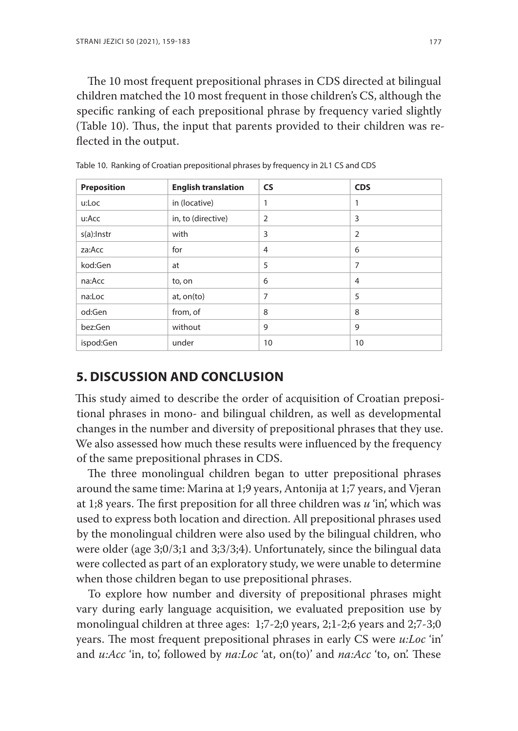The 10 most frequent prepositional phrases in CDS directed at bilingual children matched the 10 most frequent in those children's CS, although the specific ranking of each prepositional phrase by frequency varied slightly (Table 10). Thus, the input that parents provided to their children was reflected in the output.

| Preposition | <b>English translation</b> | <b>CS</b> | <b>CDS</b>     |
|-------------|----------------------------|-----------|----------------|
| u:Loc       | in (locative)              | 1         | 1              |
| u:Acc       | in, to (directive)         | 2         | 3              |
| s(a):Instr  | with                       | 3         | $\overline{2}$ |
| za:Acc      | for                        | 4         | 6              |
| kod:Gen     | at                         | 5         | 7              |
| na:Acc      | to, on                     | 6         | $\overline{4}$ |
| na:Loc      | at, on(to)                 | 7         | 5              |
| od:Gen      | from, of                   | 8         | 8              |
| bez:Gen     | without                    | 9         | 9              |
| ispod:Gen   | under                      | 10        | 10             |

Table 10. Ranking of Croatian prepositional phrases by frequency in 2L1 CS and CDS

# **5. DISCUSSION AND CONCLUSION**

This study aimed to describe the order of acquisition of Croatian prepositional phrases in mono- and bilingual children, as well as developmental changes in the number and diversity of prepositional phrases that they use. We also assessed how much these results were influenced by the frequency of the same prepositional phrases in CDS.

The three monolingual children began to utter prepositional phrases around the same time: Marina at 1;9 years, Antonija at 1;7 years, and Vjeran at 1;8 years. The first preposition for all three children was *u* 'in', which was used to express both location and direction. All prepositional phrases used by the monolingual children were also used by the bilingual children, who were older (age 3;0/3;1 and 3;3/3;4). Unfortunately, since the bilingual data were collected as part of an exploratory study, we were unable to determine when those children began to use prepositional phrases.

To explore how number and diversity of prepositional phrases might vary during early language acquisition, we evaluated preposition use by monolingual children at three ages: 1;7-2;0 years, 2;1-2;6 years and 2;7-3;0 years. The most frequent prepositional phrases in early CS were *u:Loc* 'in' and *u:Acc* 'in, to', followed by *na:Loc* 'at, on(to)' and *na:Acc* 'to, on'. These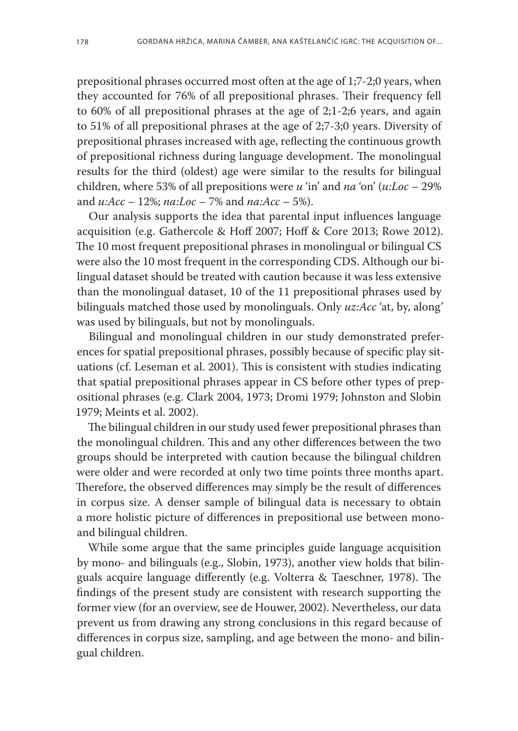prepositional phrases occurred most often at the age of 1;7-2;0 years, when they accounted for 76% of all prepositional phrases. Their frequency fell to 60% of all prepositional phrases at the age of 2;1-2;6 years, and again to 51% of all prepositional phrases at the age of 2;7-3;0 years. Diversity of prepositional phrases increased with age, reflecting the continuous growth of prepositional richness during language development. The monolingual results for the third (oldest) age were similar to the results for bilingual children, where 53% of all prepositions were *u* 'in' and *na* 'on' (*u:Loc* – 29% and *u:Acc* – 12%; *na:Loc* – 7% and *na:Acc* – 5%).

Our analysis supports the idea that parental input influences language acquisition (e.g. Gathercole & Hoff 2007; Hoff & Core 2013; Rowe 2012). The 10 most frequent prepositional phrases in monolingual or bilingual CS were also the 10 most frequent in the corresponding CDS. Although our bilingual dataset should be treated with caution because it was less extensive than the monolingual dataset, 10 of the 11 prepositional phrases used by bilinguals matched those used by monolinguals. Only *uz:Acc* 'at, by, along' was used by bilinguals, but not by monolinguals.

Bilingual and monolingual children in our study demonstrated preferences for spatial prepositional phrases, possibly because of specific play situations (cf. Leseman et al. 2001). This is consistent with studies indicating that spatial prepositional phrases appear in CS before other types of prepositional phrases (e.g. Clark 2004, 1973; Dromi 1979; Johnston and Slobin 1979; Meints et al. 2002).

The bilingual children in our study used fewer prepositional phrases than the monolingual children. This and any other differences between the two groups should be interpreted with caution because the bilingual children were older and were recorded at only two time points three months apart. Therefore, the observed differences may simply be the result of differences in corpus size. A denser sample of bilingual data is necessary to obtain a more holistic picture of differences in prepositional use between monoand bilingual children.

While some argue that the same principles guide language acquisition by mono- and bilinguals (e.g., Slobin, 1973), another view holds that bilinguals acquire language differently (e.g. Volterra & Taeschner, 1978). The findings of the present study are consistent with research supporting the former view (for an overview, see de Houwer, 2002). Nevertheless, our data prevent us from drawing any strong conclusions in this regard because of differences in corpus size, sampling, and age between the mono- and bilingual children.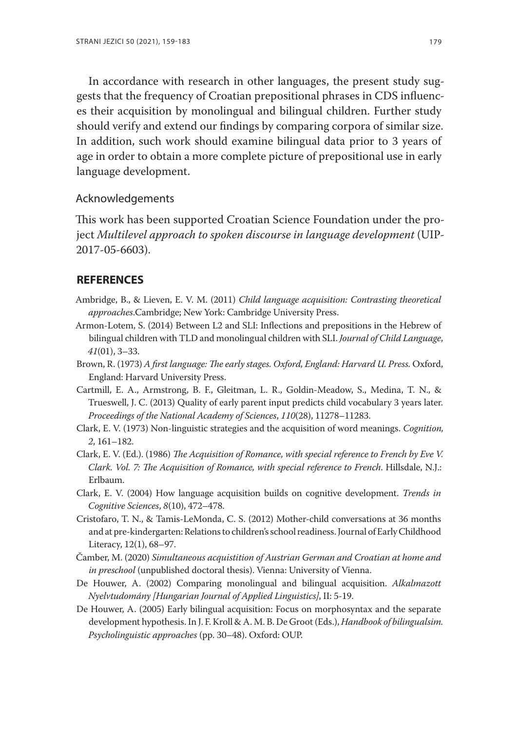In accordance with research in other languages, the present study suggests that the frequency of Croatian prepositional phrases in CDS influences their acquisition by monolingual and bilingual children. Further study should verify and extend our findings by comparing corpora of similar size. In addition, such work should examine bilingual data prior to 3 years of age in order to obtain a more complete picture of prepositional use in early language development.

#### Acknowledgements

This work has been supported Croatian Science Foundation under the project *Multilevel approach to spoken discourse in language development* (UIP-2017-05-6603).

#### **REFERENCES**

- Ambridge, B., & Lieven, E. V. M. (2011) *Child language acquisition: Contrasting theoretical approaches*.Cambridge; New York: Cambridge University Press.
- Armon-Lotem, S. (2014) Between L2 and SLI: Inflections and prepositions in the Hebrew of bilingual children with TLD and monolingual children with SLI. *Journal of Child Language*, *41*(01), 3–33.
- Brown, R. (1973) *A first language: The early stages. Oxford, England: Harvard U. Press.* Oxford, England: Harvard University Press.
- Cartmill, E. A., Armstrong, B. F., Gleitman, L. R., Goldin-Meadow, S., Medina, T. N., & Trueswell, J. C. (2013) Quality of early parent input predicts child vocabulary 3 years later. *Proceedings of the National Academy of Sciences*, *110*(28), 11278–11283.
- Clark, E. V. (1973) Non-linguistic strategies and the acquisition of word meanings. *Cognition, 2*, 161–182.
- Clark, E. V. (Ed.). (1986) *The Acquisition of Romance, with special reference to French by Eve V. Clark. Vol. 7: The Acquisition of Romance, with special reference to French*. Hillsdale, N.J.: Erlbaum.
- Clark, E. V. (2004) How language acquisition builds on cognitive development. *Trends in Cognitive Sciences*, *8*(10), 472–478.
- Cristofaro, T. N., & Tamis-LeMonda, C. S. (2012) Mother-child conversations at 36 months and at pre-kindergarten: Relations to children's school readiness. Journal of Early Childhood Literacy, 12(1), 68–97.
- Čamber, M. (2020) *Simultaneous acquistition of Austrian German and Croatian at home and in preschool* (unpublished doctoral thesis). Vienna: University of Vienna.
- De Houwer, A. (2002) Comparing monolingual and bilingual acquisition. *Alkalmazott Nyelvtudomány [Hungarian Journal of Applied Linguistics]*, II: 5-19.
- De Houwer, A. (2005) Early bilingual acquisition: Focus on morphosyntax and the separate development hypothesis. In J. F. Kroll & A. M. B. De Groot (Eds.), *Handbook of bilingualsim. Psycholinguistic approaches* (pp. 30–48). Oxford: OUP.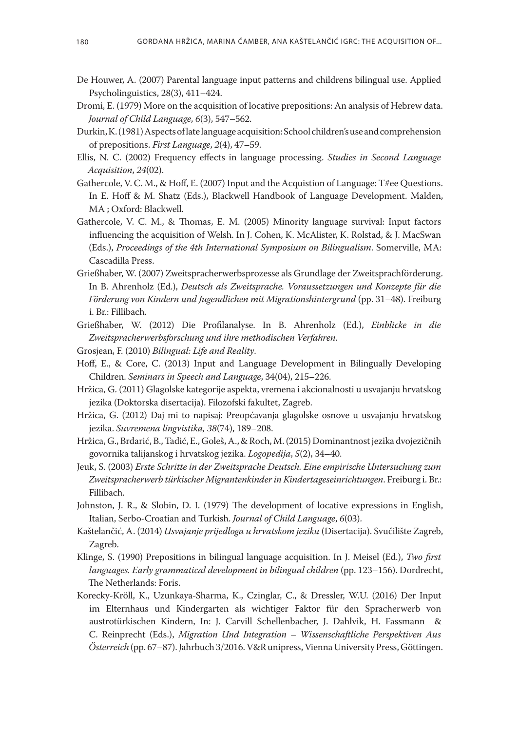- De Houwer, A. (2007) Parental language input patterns and childrens bilingual use. Applied Psycholinguistics, 28(3), 411–424.
- Dromi, E. (1979) More on the acquisition of locative prepositions: An analysis of Hebrew data. *Journal of Child Language*, *6*(3), 547–562.
- Durkin, K. (1981) Aspects of late language acquisition: School children's use and comprehension of prepositions. *First Language*, *2*(4), 47–59.
- Ellis, N. C. (2002) Frequency effects in language processing. *Studies in Second Language Acquisition*, *24*(02).
- Gathercole, V. C. M., & Hoff, E. (2007) Input and the Acquistion of Language: T#ee Questions. In E. Hoff & M. Shatz (Eds.), Blackwell Handbook of Language Development. Malden, MA ; Oxford: Blackwell.
- Gathercole, V. C. M., & Thomas, E. M. (2005) Minority language survival: Input factors influencing the acquisition of Welsh. In J. Cohen, K. McAlister, K. Rolstad, & J. MacSwan (Eds.), *Proceedings of the 4th International Symposium on Bilingualism*. Somerville, MA: Cascadilla Press.
- Grießhaber, W. (2007) Zweitspracherwerbsprozesse als Grundlage der Zweitsprachförderung. In B. Ahrenholz (Ed.), *Deutsch als Zweitsprache. Voraussetzungen und Konzepte für die Förderung von Kindern und Jugendlichen mit Migrationshintergrund* (pp. 31–48). Freiburg i. Br.: Fillibach.
- Grießhaber, W. (2012) Die Profilanalyse. In B. Ahrenholz (Ed.), *Einblicke in die Zweitspracherwerbsforschung und ihre methodischen Verfahren*.
- Grosjean, F. (2010) *Bilingual: Life and Reality*.
- Hoff, E., & Core, C. (2013) Input and Language Development in Bilingually Developing Children. *Seminars in Speech and Language*, 34(04), 215–226.
- Hržica, G. (2011) Glagolske kategorije aspekta, vremena i akcionalnosti u usvajanju hrvatskog jezika (Doktorska disertacija). Filozofski fakultet, Zagreb.
- Hržica, G. (2012) Daj mi to napisaj: Preopćavanja glagolske osnove u usvajanju hrvatskog jezika. *Suvremena lingvistika, 38*(74), 189–208.
- Hržica, G., Brdarić, B., Tadić, E., Goleš, A., & Roch, M. (2015) Dominantnost jezika dvojezičnih govornika talijanskog i hrvatskog jezika. *Logopedija*, *5*(2), 34–40.
- Jeuk, S. (2003) *Erste Schritte in der Zweitsprache Deutsch. Eine empirische Untersuchung zum Zweitspracherwerb türkischer Migrantenkinder in Kindertageseinrichtungen*. Freiburg i. Br.: Fillibach.
- Johnston, J. R., & Slobin, D. I. (1979) The development of locative expressions in English, Italian, Serbo-Croatian and Turkish. *Journal of Child Language*, *6*(03).
- Kaštelančić, A. (2014) *Usvajanje prijedloga u hrvatskom jeziku* (Disertacija). Svučilište Zagreb, Zagreb.
- Klinge, S. (1990) Prepositions in bilingual language acquisition. In J. Meisel (Ed.), *Two first languages. Early grammatical development in bilingual children* (pp. 123–156). Dordrecht, The Netherlands: Foris.
- Korecky-Kröll, K., Uzunkaya-Sharma, K., Czinglar, C., & Dressler, W.U. (2016) Der Input im Elternhaus und Kindergarten als wichtiger Faktor für den Spracherwerb von austrotürkischen Kindern, In: J. Carvill Schellenbacher, J. Dahlvik, H. Fassmann & C. Reinprecht (Eds.), *Migration Und Integration – Wissenschaftliche Perspektiven Aus Österreich* (pp. 67–87). Jahrbuch 3/2016. V&R unipress, Vienna University Press, Göttingen.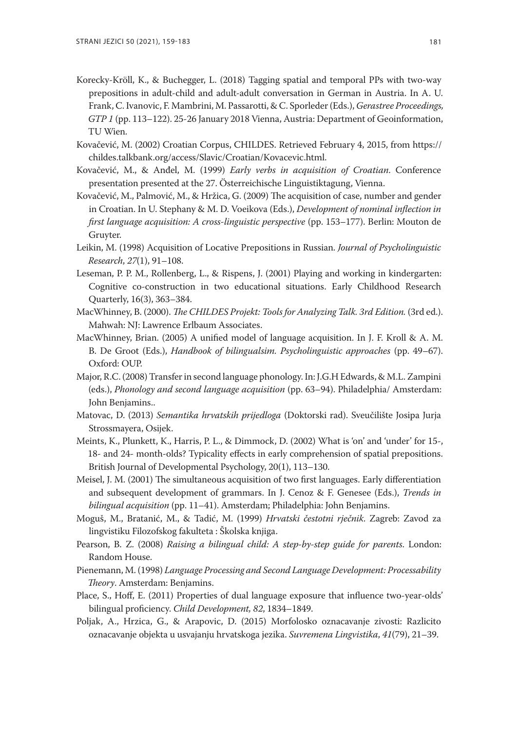- Korecky-Kröll, K., & Buchegger, L. (2018) Tagging spatial and temporal PPs with two-way prepositions in adult-child and adult-adult conversation in German in Austria. In A. U. Frank, C. Ivanovic, F. Mambrini, M. Passarotti, & C. Sporleder (Eds.), *Gerastree Proceedings, GTP 1* (pp. 113–122). 25-26 January 2018 Vienna, Austria: Department of Geoinformation, TU Wien.
- Kovačević, M. (2002) Croatian Corpus, CHILDES. Retrieved February 4, 2015, from https:// childes.talkbank.org/access/Slavic/Croatian/Kovacevic.html.
- Kovačević, M., & Anđel, M. (1999) *Early verbs in acquisition of Croatian*. Conference presentation presented at the 27. Österreichische Linguistiktagung, Vienna.
- Kovačević, M., Palmović, M., & Hržica, G. (2009) The acquisition of case, number and gender in Croatian. In U. Stephany & M. D. Voeikova (Eds.), *Development of nominal inflection in first language acquisition: A cross-linguistic perspective* (pp. 153–177). Berlin: Mouton de Gruyter.
- Leikin, M. (1998) Acquisition of Locative Prepositions in Russian. *Journal of Psycholinguistic Research*, *27*(1), 91–108.
- Leseman, P. P. M., Rollenberg, L., & Rispens, J. (2001) Playing and working in kindergarten: Cognitive co-construction in two educational situations. Early Childhood Research Quarterly, 16(3), 363–384.
- MacWhinney, B. (2000). *The CHILDES Projekt: Tools for Analyzing Talk. 3rd Edition.* (3rd ed.). Mahwah: NJ: Lawrence Erlbaum Associates.
- MacWhinney, Brian. (2005) A unified model of language acquisition. In J. F. Kroll & A. M. B. De Groot (Eds.), *Handbook of bilingualsim. Psycholinguistic approaches* (pp. 49–67). Oxford: OUP.
- Major, R.C. (2008) Transfer in second language phonology. In: J.G.H Edwards, & M.L. Zampini (eds.), *Phonology and second language acquisition* (pp. 63–94). Philadelphia/ Amsterdam: John Benjamins..
- Matovac, D. (2013) *Semantika hrvatskih prijedloga* (Doktorski rad). Sveučilište Josipa Jurja Strossmayera, Osijek.
- Meints, K., Plunkett, K., Harris, P. L., & Dimmock, D. (2002) What is 'on' and 'under' for 15-, 18- and 24- month-olds? Typicality effects in early comprehension of spatial prepositions. British Journal of Developmental Psychology, 20(1), 113–130.
- Meisel, J. M. (2001) The simultaneous acquisition of two first languages. Early differentiation and subsequent development of grammars. In J. Cenoz & F. Genesee (Eds.), *Trends in bilingual acquisition* (pp. 11–41). Amsterdam; Philadelphia: John Benjamins.
- Moguš, M., Bratanić, M., & Tadić, M. (1999) *Hrvatski čestotni rječnik*. Zagreb: Zavod za lingvistiku Filozofskog fakulteta : Školska knjiga.
- Pearson, B. Z. (2008) *Raising a bilingual child: A step-by-step guide for parents*. London: Random House.
- Pienemann, M. (1998) *Language Processing and Second Language Development: Processability Theory*. Amsterdam: Benjamins.
- Place, S., Hoff, E. (2011) Properties of dual language exposure that influence two-year-olds' bilingual proficiency. *Child Development, 82*, 1834–1849.
- Poljak, A., Hrzica, G., & Arapovic, D. (2015) Morfolosko oznacavanje zivosti: Razlicito oznacavanje objekta u usvajanju hrvatskoga jezika. *Suvremena Lingvistika*, *41*(79), 21–39.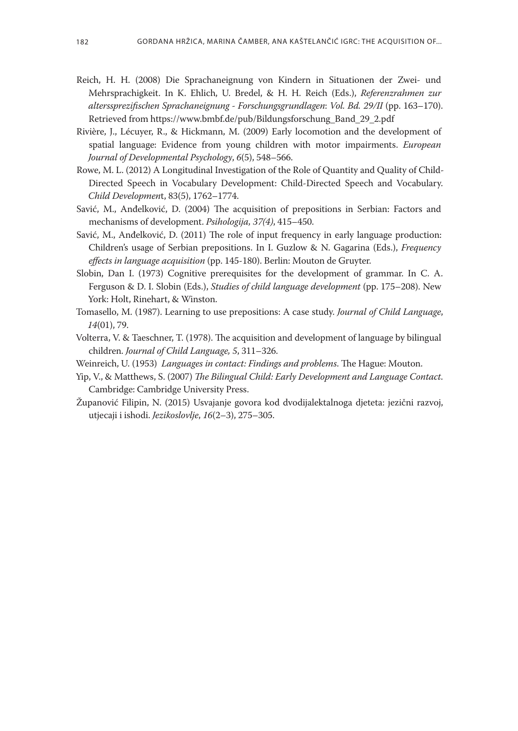- Reich, H. H. (2008) Die Sprachaneignung von Kindern in Situationen der Zwei- und Mehrsprachigkeit. In K. Ehlich, U. Bredel, & H. H. Reich (Eds.), *Referenzrahmen zur alterssprezifischen Sprachaneignung - Forschungsgrundlagen*: *Vol. Bd. 29/II* (pp. 163–170). Retrieved from https://www.bmbf.de/pub/Bildungsforschung\_Band\_29\_2.pdf
- Rivière, J., Lécuyer, R., & Hickmann, M. (2009) Early locomotion and the development of spatial language: Evidence from young children with motor impairments. *European Journal of Developmental Psychology*, *6*(5), 548–566.
- Rowe, M. L. (2012) A Longitudinal Investigation of the Role of Quantity and Quality of Child-Directed Speech in Vocabulary Development: Child-Directed Speech and Vocabulary. *Child Developmen*t, 83(5), 1762–1774.
- Savić, M., Anđelković, D. (2004) The acquisition of prepositions in Serbian: Factors and mechanisms of development. *Psihologija, 37(4)*, 415–450.
- Savić, M., Anđelković, D. (2011) The role of input frequency in early language production: Children's usage of Serbian prepositions. In I. Guzlow & N. Gagarina (Eds.), *Frequency effects in language acquisition* (pp. 145-180). Berlin: Mouton de Gruyter.
- Slobin, Dan I. (1973) Cognitive prerequisites for the development of grammar. In C. A. Ferguson & D. I. Slobin (Eds.), *Studies of child language development* (pp. 175–208). New York: Holt, Rinehart, & Winston.
- Tomasello, M. (1987). Learning to use prepositions: A case study. *Journal of Child Language*, *14*(01), 79.
- Volterra, V. & Taeschner, T. (1978). The acquisition and development of language by bilingual children. *Journal of Child Language, 5*, 311–326.
- Weinreich, U. (1953) *Languages in contact: Findings and problems*. The Hague: Mouton.
- Yip, V., & Matthews, S. (2007) *The Bilingual Child: Early Development and Language Contact*. Cambridge: Cambridge University Press.
- Županović Filipin, N. (2015) Usvajanje govora kod dvodijalektalnoga djeteta: jezični razvoj, utjecaji i ishodi. *Jezikoslovlje*, *16*(2–3), 275–305.